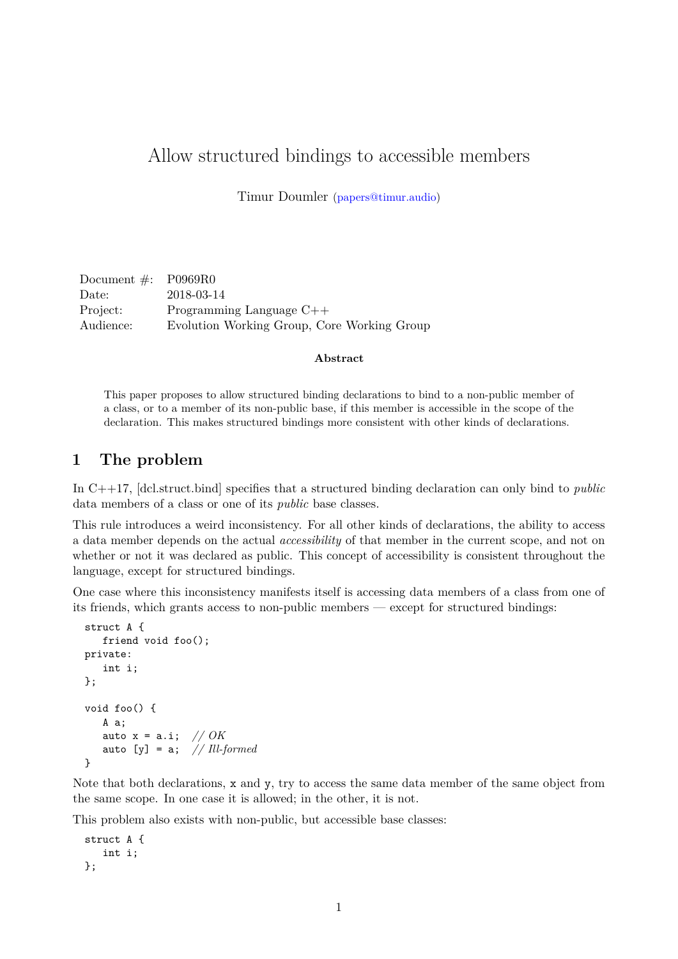# Allow structured bindings to accessible members

Timur Doumler [\(papers@timur.audio\)](mailto:papers@timur.audio)

| Document $\#$ : P0969R0 |                                             |
|-------------------------|---------------------------------------------|
| Date:                   | 2018-03-14                                  |
| Project:                | Programming Language $C++$                  |
| Audience:               | Evolution Working Group, Core Working Group |

#### **Abstract**

This paper proposes to allow structured binding declarations to bind to a non-public member of a class, or to a member of its non-public base, if this member is accessible in the scope of the declaration. This makes structured bindings more consistent with other kinds of declarations.

#### **1 The problem**

In C++17, [dcl.struct.bind] specifies that a structured binding declaration can only bind to *public* data members of a class or one of its *public* base classes.

This rule introduces a weird inconsistency. For all other kinds of declarations, the ability to access a data member depends on the actual *accessibility* of that member in the current scope, and not on whether or not it was declared as public. This concept of accessibility is consistent throughout the language, except for structured bindings.

One case where this inconsistency manifests itself is accessing data members of a class from one of its friends, which grants access to non-public members — except for structured bindings:

```
struct A {
   friend void foo();
private:
   int i;
\ddot{\ }:
void foo() {
   A a;
   auto x = a.i; // OK
   auto [y] = a; // Ill-formed
}
```
Note that both declarations, x and y, try to access the same data member of the same object from the same scope. In one case it is allowed; in the other, it is not.

This problem also exists with non-public, but accessible base classes:

```
struct A {
   int i;
};
```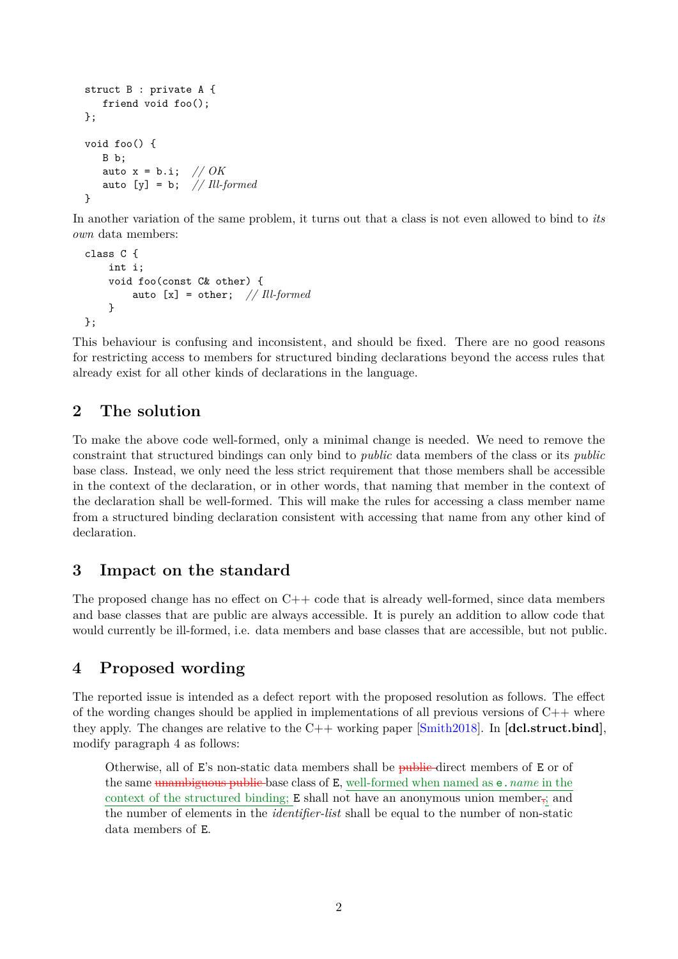```
struct B : private A {
   friend void foo();
};
void foo() {
   B b;
   auto x = b.i; // OK
   auto [y] = b; // Ill-formed
}
```
In another variation of the same problem, it turns out that a class is not even allowed to bind to *its own* data members:

```
class C {
    int i;
    void foo(const C& other) {
        auto [x] = other; // Ill-formed
    }
};
```
This behaviour is confusing and inconsistent, and should be fixed. There are no good reasons for restricting access to members for structured binding declarations beyond the access rules that already exist for all other kinds of declarations in the language.

### **2 The solution**

To make the above code well-formed, only a minimal change is needed. We need to remove the constraint that structured bindings can only bind to *public* data members of the class or its *public* base class. Instead, we only need the less strict requirement that those members shall be accessible in the context of the declaration, or in other words, that naming that member in the context of the declaration shall be well-formed. This will make the rules for accessing a class member name from a structured binding declaration consistent with accessing that name from any other kind of declaration.

### **3 Impact on the standard**

The proposed change has no effect on  $C++$  code that is already well-formed, since data members and base classes that are public are always accessible. It is purely an addition to allow code that would currently be ill-formed, i.e. data members and base classes that are accessible, but not public.

## **4 Proposed wording**

The reported issue is intended as a defect report with the proposed resolution as follows. The effect of the wording changes should be applied in implementations of all previous versions of  $C++$  where they apply. The changes are relative to the C++ working paper [\[Smith2018\]](#page-2-0). In **[dcl.struct.bind]**, modify paragraph 4 as follows:

Otherwise, all of E's non-static data members shall be public-direct members of E or of the same unambiguous public base class of E, well-formed when named as e.*name* in the context of the structured binding;  $E$  shall not have an anonymous union member<sub>5</sub>; and the number of elements in the *identifier-list* shall be equal to the number of non-static data members of E.